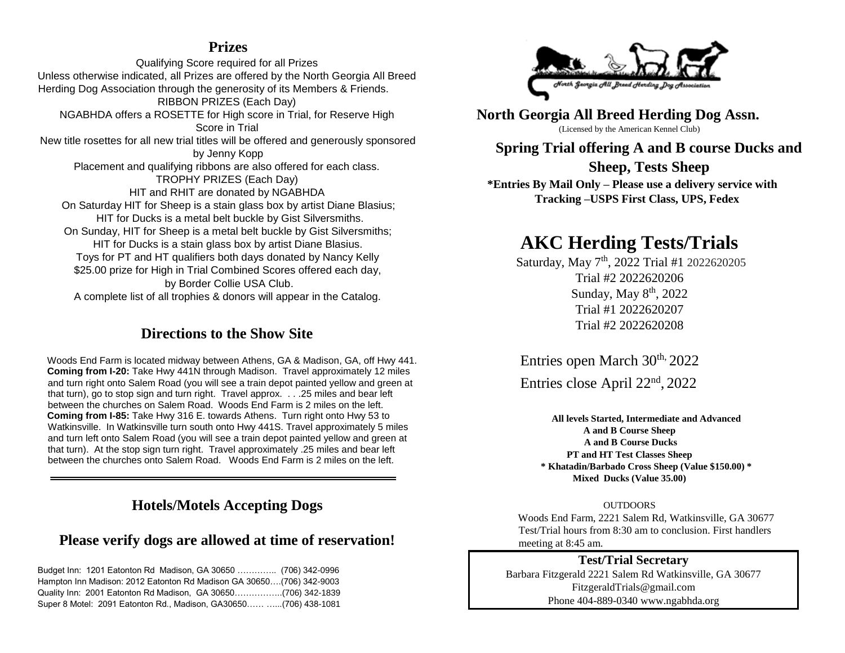### **Prizes**

Qualifying Score required for all Prizes Unless otherwise indicated, all Prizes are offered by the North Georgia All Breed Herding Dog Association through the generosity of its Members & Friends. RIBBON PRIZES (Each Day) NGABHDA offers a ROSETTE for High score in Trial, for Reserve High Score in Trial New title rosettes for all new trial titles will be offered and generously sponsored by Jenny Kopp Placement and qualifying ribbons are also offered for each class. TROPHY PRIZES (Each Day) HIT and RHIT are donated by NGABHDA On Saturday HIT for Sheep is a stain glass box by artist Diane Blasius; HIT for Ducks is a metal belt buckle by Gist Silversmiths. On Sunday, HIT for Sheep is a metal belt buckle by Gist Silversmiths; HIT for Ducks is a stain glass box by artist Diane Blasius. Toys for PT and HT qualifiers both days donated by Nancy Kelly \$25.00 prize for High in Trial Combined Scores offered each day, by Border Collie USA Club. A complete list of all trophies & donors will appear in the Catalog.

## **Directions to the Show Site**

Woods End Farm is located midway between Athens, GA & Madison, GA, off Hwy 441. **Coming from I-20:** Take Hwy 441N through Madison. Travel approximately 12 miles and turn right onto Salem Road (you will see a train depot painted yellow and green at that turn), go to stop sign and turn right. Travel approx. . . .25 miles and bear left between the churches on Salem Road. Woods End Farm is 2 miles on the left. **Coming from I-85:** Take Hwy 316 E. towards Athens. Turn right onto Hwy 53 to Watkinsville. In Watkinsville turn south onto Hwy 441S. Travel approximately 5 miles and turn left onto Salem Road (you will see a train depot painted yellow and green at that turn). At the stop sign turn right. Travel approximately .25 miles and bear left between the churches onto Salem Road. Woods End Farm is 2 miles on the left.

## **Hotels/Motels Accepting Dogs**

## **Please verify dogs are allowed at time of reservation!**

Budget Inn: 1201 Eatonton Rd Madison, GA 30650 ………….. (706) 342-0996 Hampton Inn Madison: 2012 Eatonton Rd Madison GA 30650….(706) 342-9003 Quality Inn: 2001 Eatonton Rd Madison, GA 30650……………..(706) 342-1839 Super 8 Motel: 2091 Eatonton Rd., Madison, GA30650…… …...(706) 438-1081



**North Georgia All Breed Herding Dog Assn.** (Licensed by the American Kennel Club)

**Spring Trial offering A and B course Ducks and Sheep, Tests Sheep**

**\*Entries By Mail Only – Please use a delivery service with Tracking –USPS First Class, UPS, Fedex**

# **AKC Herding Tests/Trials**

Saturday, May 7<sup>th</sup>, 2022 Trial #1 2022620205 Trial #2 2022620206 Sunday, May 8<sup>th</sup>, 2022 Trial #1 2022620207 Trial #2 2022620208

Entries open March 30<sup>th,</sup> 2022

Entries close April 22nd , 2022

**All levels Started, Intermediate and Advanced A and B Course Sheep A and B Course Ducks PT and HT Test Classes Sheep \* Khatadin/Barbado Cross Sheep (Value \$150.00) \* Mixed Ducks (Value 35.00)** 

**OUTDOORS** 

Woods End Farm, 2221 Salem Rd, Watkinsville, GA 30677 Test/Trial hours from 8:30 am to conclusion. First handlers meeting at 8:45 am.

**Test/Trial Secretary** Barbara Fitzgerald 2221 Salem Rd Watkinsville, GA 30677 FitzgeraldTrials@gmail.com Phone 404-889-034[0](http://www.ngabhda.org/) [www.ngabhda.org](http://www.ngabhda.org/)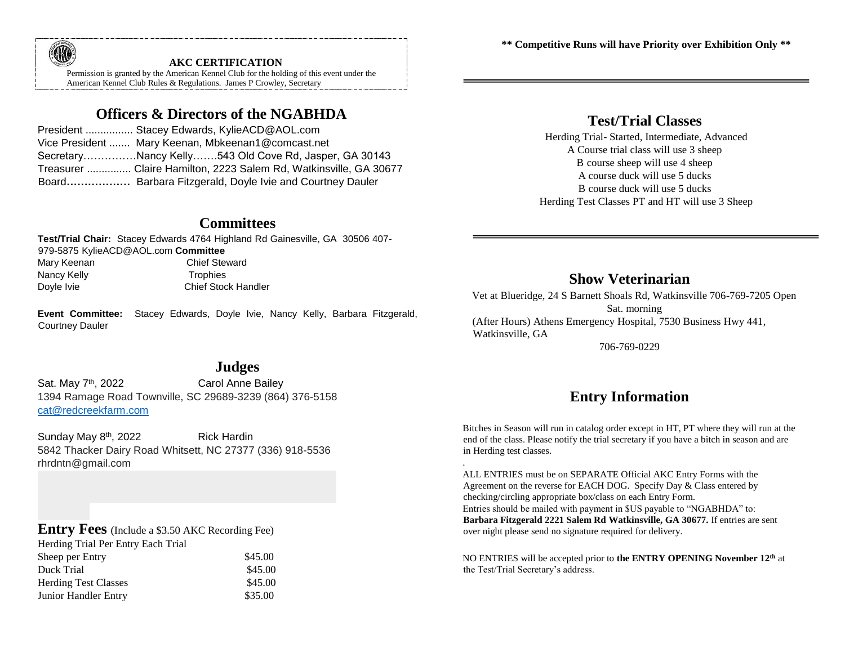**\*\* Competitive Runs will have Priority over Exhibition Only \*\*** 



#### **AKC CERTIFICATION**

Permission is granted by the American Kennel Club for the holding of this event under the American Kennel Club Rules & Regulations. James P Crowley, Secretary

## **Officers & Directors of the NGABHDA**

| President  Stacey Edwards, KylieACD@AOL.com                       |
|-------------------------------------------------------------------|
| Vice President  Mary Keenan, Mbkeenan1@comcast.net                |
| SecretaryNancy Kelly543 Old Cove Rd, Jasper, GA 30143             |
| Treasurer  Claire Hamilton, 2223 Salem Rd, Watkinsville, GA 30677 |
| Board Barbara Fitzgerald, Doyle Ivie and Courtney Dauler          |

#### **Committees**

**Test/Trial Chair:** Stacey Edwards 4764 Highland Rd Gainesville, GA 30506 407- 979-5875 KylieACD@AOL.com **Committee** Mary Keenan Chief Steward Nancy Kelly **Trophies** Doyle Ivie **Chief Stock Handler** 

**Event Committee:** Stacey Edwards, Doyle Ivie, Nancy Kelly, Barbara Fitzgerald, Courtney Dauler

## **Test/Trial Classes**

Herding Trial- Started, Intermediate, Advanced A Course trial class will use 3 sheep B course sheep will use 4 sheep A course duck will use 5 ducks B course duck will use 5 ducks Herding Test Classes PT and HT will use 3 Sheep

### **Show Veterinarian**

Vet at Blueridge, 24 S Barnett Shoals Rd, Watkinsville 706-769-7205 Open Sat. morning (After Hours) Athens Emergency Hospital, 7530 Business Hwy 441, Watkinsville, GA

706-769-0229

## **Entry Information**

Bitches in Season will run in catalog order except in HT, PT where they will run at the end of the class. Please notify the trial secretary if you have a bitch in season and are in Herding test classes.

ALL ENTRIES must be on SEPARATE Official AKC Entry Forms with the Agreement on the reverse for EACH DOG. Specify Day & Class entered by checking/circling appropriate box/class on each Entry Form. Entries should be mailed with payment in \$US payable to "NGABHDA" to: **Barbara Fitzgerald 2221 Salem Rd Watkinsville, GA 30677.** If entries are sent over night please send no signature required for delivery.

.

NO ENTRIES will be accepted prior to **the ENTRY OPENING November 12th** at the Test/Trial Secretary's address.

#### **Judges**

Sat. May 7<sup>th</sup>, 2022 Carol Anne Bailey 1394 Ramage Road Townville, SC 29689-3239 (864) 376-5158 [cat@redcreekfarm.com](mailto:cat@redcreekfarm.com)

Sunday May 8<sup>th</sup>, 2022 Rick Hardin 5842 Thacker Dairy Road Whitsett, NC 27377 (336) 918-5536 rhrdntn@gmail.com

### **Entry Fees** (Include a \$3.50 AKC Recording Fee)

| \$45.00 |
|---------|
| \$45.00 |
| \$45.00 |
| \$35.00 |
|         |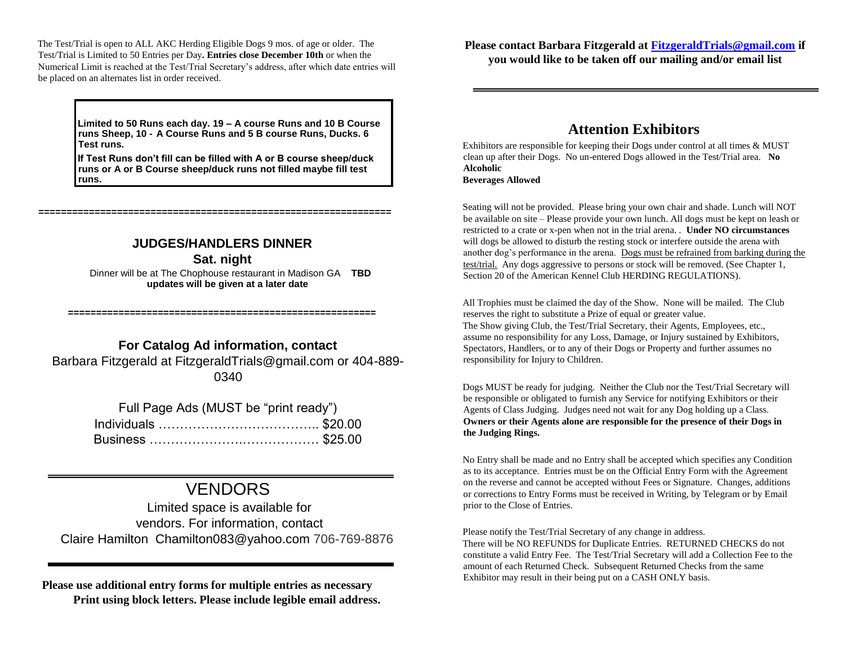The Test/Trial is open to ALL AKC Herding Eligible Dogs 9 mos. of age or older. The Test/Trial is Limited to 50 Entries per Day**. Entries close December 10th** or when the Numerical Limit is reached at the Test/Trial Secretary's address, after which date entries will be placed on an alternates list in order received.

> **Limited to 50 Runs each day. 19 – A course Runs and 10 B Course runs Sheep, 10 - A Course Runs and 5 B course Runs, Ducks. 6 Test runs.**

**If Test Runs don't fill can be filled with A or B course sheep/duck runs or A or B Course sheep/duck runs not filled maybe fill test runs.** 

#### **JUDGES/HANDLERS DINNER**

**===============================================================** 

**Sat. night** 

 Dinner will be at The Chophouse restaurant in Madison GA **TBD updates will be given at a later date** 

#### **For Catalog Ad information, contact**

**=======================================================**

Barbara Fitzgerald at FitzgeraldTrials@gmail.com or 404-889- 0340

| Full Page Ads (MUST be "print ready") |  |  |  |  |  |  |  |  |
|---------------------------------------|--|--|--|--|--|--|--|--|
|                                       |  |  |  |  |  |  |  |  |
|                                       |  |  |  |  |  |  |  |  |

# VENDORS

Limited space is available for vendors. For information, contact Claire Hamilton Chamilton083@yahoo.com 706-769-8876

**Please use additional entry forms for multiple entries as necessary Print using block letters. Please include legible email address.** **Please contact Barbara Fitzgerald at FitzgeraldTrials@gmail.com if you would like to be taken off our mailing and/or email list** 

### **Attention Exhibitors**

Exhibitors are responsible for keeping their Dogs under control at all times & MUST clean up after their Dogs. No un-entered Dogs allowed in the Test/Trial area. **No Alcoholic Beverages Allowed** 

Seating will not be provided. Please bring your own chair and shade. Lunch will NOT be available on site – Please provide your own lunch. All dogs must be kept on leash or restricted to a crate or x-pen when not in the trial arena. . **Under NO circumstances** will dogs be allowed to disturb the resting stock or interfere outside the arena with another dog's performance in the arena. Dogs must be refrained from barking during the test/trial. Any dogs aggressive to persons or stock will be removed. (See Chapter 1, Section 20 of the American Kennel Club HERDING REGULATIONS).

All Trophies must be claimed the day of the Show. None will be mailed. The Club reserves the right to substitute a Prize of equal or greater value. The Show giving Club, the Test/Trial Secretary, their Agents, Employees, etc., assume no responsibility for any Loss, Damage, or Injury sustained by Exhibitors, Spectators, Handlers, or to any of their Dogs or Property and further assumes no responsibility for Injury to Children.

Dogs MUST be ready for judging. Neither the Club nor the Test/Trial Secretary will be responsible or obligated to furnish any Service for notifying Exhibitors or their Agents of Class Judging. Judges need not wait for any Dog holding up a Class. **Owners or their Agents alone are responsible for the presence of their Dogs in the Judging Rings.** 

No Entry shall be made and no Entry shall be accepted which specifies any Condition as to its acceptance. Entries must be on the Official Entry Form with the Agreement on the reverse and cannot be accepted without Fees or Signature. Changes, additions or corrections to Entry Forms must be received in Writing, by Telegram or by Email prior to the Close of Entries.

Please notify the Test/Trial Secretary of any change in address.

There will be NO REFUNDS for Duplicate Entries. RETURNED CHECKS do not constitute a valid Entry Fee. The Test/Trial Secretary will add a Collection Fee to the amount of each Returned Check. Subsequent Returned Checks from the same Exhibitor may result in their being put on a CASH ONLY basis.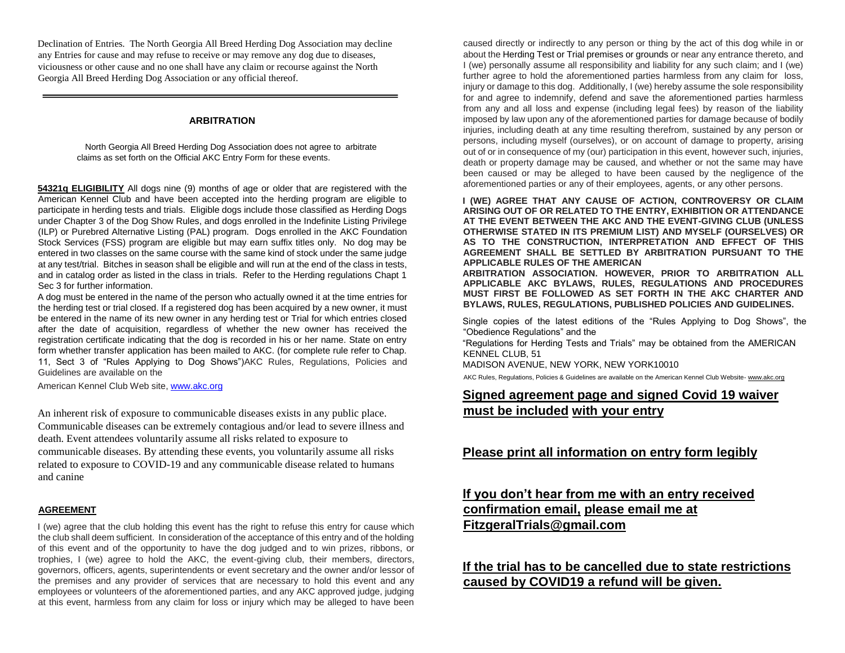Declination of Entries. The North Georgia All Breed Herding Dog Association may decline any Entries for cause and may refuse to receive or may remove any dog due to diseases, viciousness or other cause and no one shall have any claim or recourse against the North Georgia All Breed Herding Dog Association or any official thereof.

#### **ARBITRATION**

 North Georgia All Breed Herding Dog Association does not agree to arbitrate claims as set forth on the Official AKC Entry Form for these events.

**54321q ELIGIBILITY** All dogs nine (9) months of age or older that are registered with the American Kennel Club and have been accepted into the herding program are eligible to participate in herding tests and trials. Eligible dogs include those classified as Herding Dogs under Chapter 3 of the Dog Show Rules, and dogs enrolled in the Indefinite Listing Privilege (ILP) or Purebred Alternative Listing (PAL) program. Dogs enrolled in the AKC Foundation Stock Services (FSS) program are eligible but may earn suffix titles only. No dog may be entered in two classes on the same course with the same kind of stock under the same judge at any test/trial. Bitches in season shall be eligible and will run at the end of the class in tests, and in catalog order as listed in the class in trials. Refer to the Herding regulations Chapt 1 Sec 3 for further information.

A dog must be entered in the name of the person who actually owned it at the time entries for the herding test or trial closed. If a registered dog has been acquired by a new owner, it must be entered in the name of its new owner in any herding test or Trial for which entries closed after the date of acquisition, regardless of whether the new owner has received the registration certificate indicating that the dog is recorded in his or her name. State on entry form whether transfer application has been mailed to AKC. (for complete rule refer to Chap. 11, Sect 3 of "Rules Applying to Dog Shows")AKC Rules, Regulations, Policies and Guidelines are available on the

American Kennel Club Web sit[e, www.akc.org](http://www.akc.org/)

An inherent risk of exposure to communicable diseases exists in any public place. Communicable diseases can be extremely contagious and/or lead to severe illness and death. Event attendees voluntarily assume all risks related to exposure to communicable diseases. By attending these events, you voluntarily assume all risks related to exposure to COVID-19 and any communicable disease related to humans and canine

#### **AGREEMENT**

I (we) agree that the club holding this event has the right to refuse this entry for cause which the club shall deem sufficient. In consideration of the acceptance of this entry and of the holding of this event and of the opportunity to have the dog judged and to win prizes, ribbons, or trophies, I (we) agree to hold the AKC, the event-giving club, their members, directors, governors, officers, agents, superintendents or event secretary and the owner and/or lessor of the premises and any provider of services that are necessary to hold this event and any employees or volunteers of the aforementioned parties, and any AKC approved judge, judging at this event, harmless from any claim for loss or injury which may be alleged to have been

caused directly or indirectly to any person or thing by the act of this dog while in or about the Herding Test or Trial premises or grounds or near any entrance thereto, and I (we) personally assume all responsibility and liability for any such claim; and I (we) further agree to hold the aforementioned parties harmless from any claim for loss, injury or damage to this dog. Additionally, I (we) hereby assume the sole responsibility for and agree to indemnify, defend and save the aforementioned parties harmless from any and all loss and expense (including legal fees) by reason of the liability imposed by law upon any of the aforementioned parties for damage because of bodily injuries, including death at any time resulting therefrom, sustained by any person or persons, including myself (ourselves), or on account of damage to property, arising out of or in consequence of my (our) participation in this event, however such, injuries, death or property damage may be caused, and whether or not the same may have been caused or may be alleged to have been caused by the negligence of the aforementioned parties or any of their employees, agents, or any other persons.

**I (WE) AGREE THAT ANY CAUSE OF ACTION, CONTROVERSY OR CLAIM ARISING OUT OF OR RELATED TO THE ENTRY, EXHIBITION OR ATTENDANCE AT THE EVENT BETWEEN THE AKC AND THE EVENT-GIVING CLUB (UNLESS OTHERWISE STATED IN ITS PREMIUM LIST) AND MYSELF (OURSELVES) OR AS TO THE CONSTRUCTION, INTERPRETATION AND EFFECT OF THIS AGREEMENT SHALL BE SETTLED BY ARBITRATION PURSUANT TO THE APPLICABLE RULES OF THE AMERICAN** 

**ARBITRATION ASSOCIATION. HOWEVER, PRIOR TO ARBITRATION ALL APPLICABLE AKC BYLAWS, RULES, REGULATIONS AND PROCEDURES MUST FIRST BE FOLLOWED AS SET FORTH IN THE AKC CHARTER AND BYLAWS, RULES, REGULATIONS, PUBLISHED POLICIES AND GUIDELINES.**

Single copies of the latest editions of the "Rules Applying to Dog Shows", the "Obedience Regulations" and the

"Regulations for Herding Tests and Trials" may be obtained from the AMERICAN KENNEL CLUB, 51

MADISON AVENUE, NEW YORK, NEW YORK10010

AKC Rules, Regulations, Policies & Guidelines are available on the American Kennel Club Websit[e-](http://www.akc.org/) [www.akc.org](http://www.akc.org/)

#### **Signed agreement page and signed Covid 19 waiver must be included with your entry**

#### **Please print all information on entry form legibly**

#### **If you don't hear from me with an entry received confirmation email, please email me at FitzgeralTrials@gmail.com**

#### **If the trial has to be cancelled due to state restrictions caused by COVID19 a refund will be given.**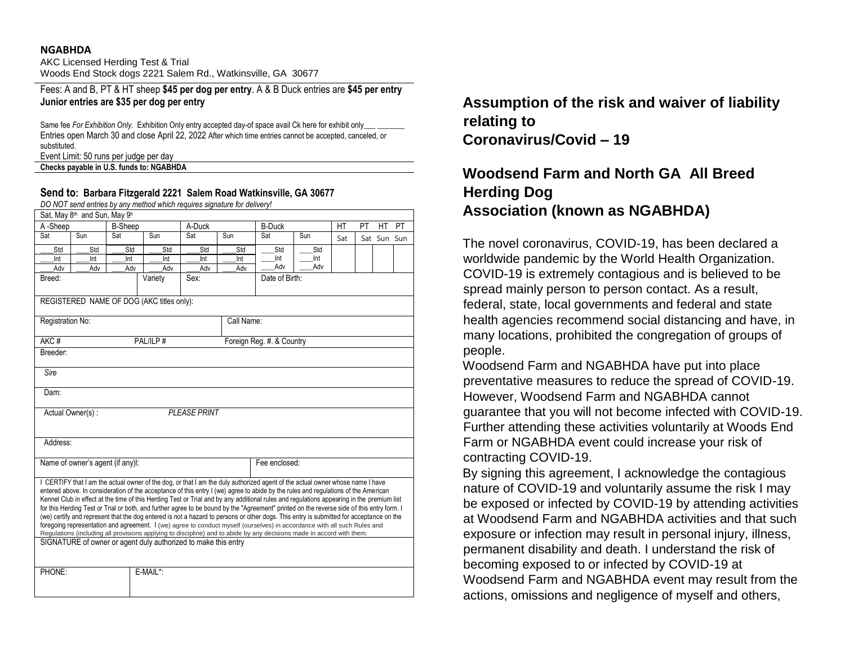#### **NGABHDA**

AKC Licensed Herding Test & Trial Woods End Stock dogs 2221 Salem Rd., Watkinsville, GA 30677

Fees: A and B, PT & HT sheep **\$45 per dog per entry**. A & B Duck entries are **\$45 per entry Junior entries are \$35 per dog per entry**

Same fee *For Exhibition Only.* Exhibition Only entry accepted day-of space avail Ck here for exhibit only\_ Entries open March 30 and close April 22, 2022 After which time entries cannot be accepted, canceled, or substituted.

Event Limit: 50 runs per judge per day

#### **Checks payable in U.S. funds to: NGABHDA**

#### **Send to: Barbara Fitzgerald 2221 Salem Road Watkinsville, GA 30677**

*DO NOT send entries by any method which requires signature for delivery!*

|                                  | Sat, May 8th and Sun, May 9h |     |                                                                                                                                                                                                                                                                                                                                                                                                                                                                                                                                                                                                                                                                                                                                                                                                                                                                                                                                                                                                                                  |                     |            |                           |     |     |    |             |    |
|----------------------------------|------------------------------|-----|----------------------------------------------------------------------------------------------------------------------------------------------------------------------------------------------------------------------------------------------------------------------------------------------------------------------------------------------------------------------------------------------------------------------------------------------------------------------------------------------------------------------------------------------------------------------------------------------------------------------------------------------------------------------------------------------------------------------------------------------------------------------------------------------------------------------------------------------------------------------------------------------------------------------------------------------------------------------------------------------------------------------------------|---------------------|------------|---------------------------|-----|-----|----|-------------|----|
| A-Sheep                          | <b>B-Sheep</b>               |     |                                                                                                                                                                                                                                                                                                                                                                                                                                                                                                                                                                                                                                                                                                                                                                                                                                                                                                                                                                                                                                  | A-Duck              |            | <b>B-Duck</b>             |     | HT  | PT | НT          | PT |
| Sat                              | Sun                          | Sat | Sun                                                                                                                                                                                                                                                                                                                                                                                                                                                                                                                                                                                                                                                                                                                                                                                                                                                                                                                                                                                                                              | Sat                 | Sun        | Sat                       | Sun | Sat |    | Sat Sun Sun |    |
| Std                              | Std                          | Std | Std                                                                                                                                                                                                                                                                                                                                                                                                                                                                                                                                                                                                                                                                                                                                                                                                                                                                                                                                                                                                                              | Std                 | Std        | Std                       | Std |     |    |             |    |
| Int                              | Int                          | Int | Int                                                                                                                                                                                                                                                                                                                                                                                                                                                                                                                                                                                                                                                                                                                                                                                                                                                                                                                                                                                                                              | Int                 | Int        | Int                       | Int |     |    |             |    |
| Adv                              | Adv                          | Adv | Adv                                                                                                                                                                                                                                                                                                                                                                                                                                                                                                                                                                                                                                                                                                                                                                                                                                                                                                                                                                                                                              | Adv                 | Adv        | Adv                       | Adv |     |    |             |    |
| Breed:                           |                              |     | Variety                                                                                                                                                                                                                                                                                                                                                                                                                                                                                                                                                                                                                                                                                                                                                                                                                                                                                                                                                                                                                          | Sex:                |            | Date of Birth:            |     |     |    |             |    |
|                                  |                              |     | REGISTERED NAME OF DOG (AKC titles only):                                                                                                                                                                                                                                                                                                                                                                                                                                                                                                                                                                                                                                                                                                                                                                                                                                                                                                                                                                                        |                     |            |                           |     |     |    |             |    |
| Registration No:                 |                              |     |                                                                                                                                                                                                                                                                                                                                                                                                                                                                                                                                                                                                                                                                                                                                                                                                                                                                                                                                                                                                                                  |                     | Call Name: |                           |     |     |    |             |    |
| AKC#<br>PAL/ILP#                 |                              |     |                                                                                                                                                                                                                                                                                                                                                                                                                                                                                                                                                                                                                                                                                                                                                                                                                                                                                                                                                                                                                                  |                     |            | Foreign Reg. #. & Country |     |     |    |             |    |
| Breeder:                         |                              |     |                                                                                                                                                                                                                                                                                                                                                                                                                                                                                                                                                                                                                                                                                                                                                                                                                                                                                                                                                                                                                                  |                     |            |                           |     |     |    |             |    |
| Sire                             |                              |     |                                                                                                                                                                                                                                                                                                                                                                                                                                                                                                                                                                                                                                                                                                                                                                                                                                                                                                                                                                                                                                  |                     |            |                           |     |     |    |             |    |
| Dam:                             |                              |     |                                                                                                                                                                                                                                                                                                                                                                                                                                                                                                                                                                                                                                                                                                                                                                                                                                                                                                                                                                                                                                  |                     |            |                           |     |     |    |             |    |
|                                  |                              |     |                                                                                                                                                                                                                                                                                                                                                                                                                                                                                                                                                                                                                                                                                                                                                                                                                                                                                                                                                                                                                                  |                     |            |                           |     |     |    |             |    |
|                                  | Actual Owner(s):             |     |                                                                                                                                                                                                                                                                                                                                                                                                                                                                                                                                                                                                                                                                                                                                                                                                                                                                                                                                                                                                                                  | <b>PLEASE PRINT</b> |            |                           |     |     |    |             |    |
| Address:                         |                              |     |                                                                                                                                                                                                                                                                                                                                                                                                                                                                                                                                                                                                                                                                                                                                                                                                                                                                                                                                                                                                                                  |                     |            |                           |     |     |    |             |    |
|                                  |                              |     |                                                                                                                                                                                                                                                                                                                                                                                                                                                                                                                                                                                                                                                                                                                                                                                                                                                                                                                                                                                                                                  |                     |            |                           |     |     |    |             |    |
| Name of owner's agent (if any)I: |                              |     |                                                                                                                                                                                                                                                                                                                                                                                                                                                                                                                                                                                                                                                                                                                                                                                                                                                                                                                                                                                                                                  |                     |            | Fee enclosed:             |     |     |    |             |    |
|                                  |                              |     | I CERTIFY that I am the actual owner of the dog, or that I am the duly authorized agent of the actual owner whose name I have<br>entered above. In consideration of the acceptance of this entry I (we) agree to abide by the rules and regulations of the American<br>Kennel Club in effect at the time of this Herding Test or Trial and by any additional rules and regulations appearing in the premium list<br>for this Herding Test or Trial or both, and further agree to be bound by the "Agreement" printed on the reverse side of this entry form. I<br>(we) certify and represent that the dog entered is not a hazard to persons or other dogs. This entry is submitted for acceptance on the<br>foregoing representation and agreement. I (we) agree to conduct myself (ourselves) in accordance with all such Rules and<br>Regulations (including all provisions applying to discipline) and to abide by any decisions made in accord with them.<br>SIGNATURE of owner or agent duly authorized to make this entry |                     |            |                           |     |     |    |             |    |
| PHONE:                           |                              |     | E-MAIL*:                                                                                                                                                                                                                                                                                                                                                                                                                                                                                                                                                                                                                                                                                                                                                                                                                                                                                                                                                                                                                         |                     |            |                           |     |     |    |             |    |
|                                  |                              |     |                                                                                                                                                                                                                                                                                                                                                                                                                                                                                                                                                                                                                                                                                                                                                                                                                                                                                                                                                                                                                                  |                     |            |                           |     |     |    |             |    |

**Assumption of the risk and waiver of liability relating to Coronavirus/Covid – 19** 

# **Woodsend Farm and North GA All Breed Herding Dog Association (known as NGABHDA)**

The novel coronavirus, COVID-19, has been declared a worldwide pandemic by the World Health Organization. COVID-19 is extremely contagious and is believed to be spread mainly person to person contact. As a result, federal, state, local governments and federal and state health agencies recommend social distancing and have, in many locations, prohibited the congregation of groups of people.

Woodsend Farm and NGABHDA have put into place preventative measures to reduce the spread of COVID-19. However, Woodsend Farm and NGABHDA cannot guarantee that you will not become infected with COVID-19. Further attending these activities voluntarily at Woods End Farm or NGABHDA event could increase your risk of contracting COVID-19.

By signing this agreement, I acknowledge the contagious nature of COVID-19 and voluntarily assume the risk I may be exposed or infected by COVID-19 by attending activities at Woodsend Farm and NGABHDA activities and that such exposure or infection may result in personal injury, illness, permanent disability and death. I understand the risk of becoming exposed to or infected by COVID-19 at Woodsend Farm and NGABHDA event may result from the actions, omissions and negligence of myself and others,